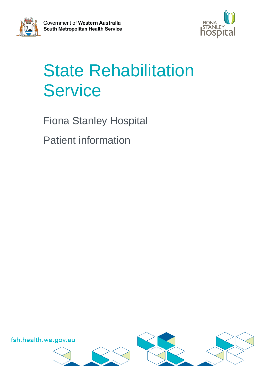



# State Rehabilitation **Service**

Fiona Stanley Hospital

Patient information

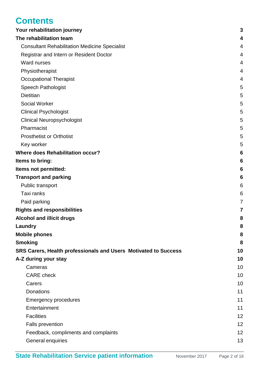# **Contents**

| Your rehabilitation journey                                            | 3              |
|------------------------------------------------------------------------|----------------|
| The rehabilitation team                                                | 4              |
| <b>Consultant Rehabilitation Medicine Specialist</b>                   | $\overline{4}$ |
| Registrar and Intern or Resident Doctor                                | 4              |
| Ward nurses                                                            | 4              |
| Physiotherapist                                                        | 4              |
| <b>Occupational Therapist</b>                                          | 4              |
| <b>Speech Pathologist</b>                                              | 5              |
| <b>Dietitian</b>                                                       | 5              |
| <b>Social Worker</b>                                                   | 5              |
| <b>Clinical Psychologist</b>                                           | 5              |
| <b>Clinical Neuropsychologist</b>                                      | 5              |
| Pharmacist                                                             | 5              |
| <b>Prosthetist or Orthotist</b>                                        | 5              |
| Key worker                                                             | 5              |
| <b>Where does Rehabilitation occur?</b>                                | 6              |
| Items to bring:                                                        | 6              |
| Items not permitted:                                                   | 6              |
| <b>Transport and parking</b>                                           | 6              |
| Public transport                                                       | 6              |
| Taxi ranks                                                             | 6              |
| Paid parking                                                           | 7              |
| <b>Rights and responsibilities</b>                                     | 7              |
| <b>Alcohol and illicit drugs</b>                                       | 8              |
| Laundry                                                                | 8              |
| <b>Mobile phones</b>                                                   | 8              |
| <b>Smoking</b>                                                         | 8              |
| <b>SRS Carers, Health professionals and Users Motivated to Success</b> | 10             |
| A-Z during your stay                                                   | 10             |
| Cameras                                                                | 10             |
| <b>CARE</b> check                                                      | 10             |
| Carers                                                                 | 10             |
| <b>Donations</b>                                                       | 11             |
| <b>Emergency procedures</b>                                            | 11             |
| Entertainment                                                          | 11             |
| <b>Facilities</b>                                                      | 12             |
| Falls prevention                                                       | 12             |
| Feedback, compliments and complaints                                   | 12             |
| General enquiries                                                      | 13             |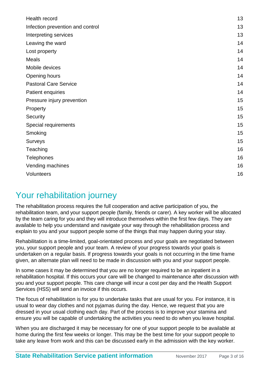| Health record                    | 13 |
|----------------------------------|----|
| Infection prevention and control | 13 |
| Interpreting services            | 13 |
| Leaving the ward                 | 14 |
| Lost property                    | 14 |
| <b>Meals</b>                     | 14 |
| Mobile devices                   | 14 |
| Opening hours                    | 14 |
| <b>Pastoral Care Service</b>     | 14 |
| Patient enquiries                | 14 |
| Pressure injury prevention       | 15 |
| Property                         | 15 |
| Security                         | 15 |
| Special requirements             | 15 |
| Smoking                          | 15 |
| Surveys                          | 15 |
| Teaching                         | 16 |
| <b>Telephones</b>                | 16 |
| Vending machines                 | 16 |
| Volunteers                       | 16 |
|                                  |    |

### <span id="page-2-0"></span>Your rehabilitation journey

The rehabilitation process requires the full cooperation and active participation of you, the rehabilitation team, and your support people (family, friends or carer). A key worker will be allocated by the team caring for you and they will introduce themselves within the first few days. They are available to help you understand and navigate your way through the rehabilitation process and explain to you and your support people some of the things that may happen during your stay.

Rehabilitation is a time-limited, goal-orientated process and your goals are negotiated between you, your support people and your team. A review of your progress towards your goals is undertaken on a regular basis. If progress towards your goals is not occurring in the time frame given, an alternate plan will need to be made in discussion with you and your support people.

In some cases it may be determined that you are no longer required to be an inpatient in a rehabilitation hospital. If this occurs your care will be changed to maintenance after discussion with you and your support people. This care change will incur a cost per day and the Health Support Services (HSS) will send an invoice if this occurs.

The focus of rehabilitation is for you to undertake tasks that are usual for you. For instance, it is usual to wear day clothes and not pyjamas during the day. Hence, we request that you are dressed in your usual clothing each day. Part of the process is to improve your stamina and ensure you will be capable of undertaking the activities you need to do when you leave hospital.

When you are discharged it may be necessary for one of your support people to be available at home during the first few weeks or longer. This may be the best time for your support people to take any leave from work and this can be discussed early in the admission with the key worker.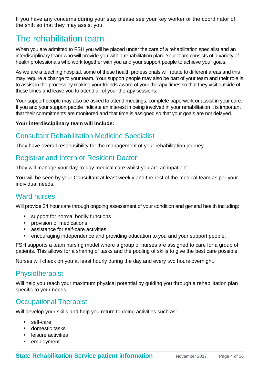If you have any concerns during your stay please see your key worker or the coordinator of the shift so that they may assist you.

# <span id="page-3-0"></span>The rehabilitation team

When you are admitted to FSH you will be placed under the care of a rehabilitation specialist and an interdisciplinary team who will provide you with a rehabilitation plan. Your team consists of a variety of health professionals who work together with you and your support people to achieve your goals.

As we are a teaching hospital, some of these health professionals will rotate to different areas and this may require a change to your team. Your support people may also be part of your team and their role is to assist in the process by making your friends aware of your therapy times so that they visit outside of these times and leave you to attend all of your therapy sessions.

Your support people may also be asked to attend meetings, complete paperwork or assist in your care. If you and your support people indicate an interest in being involved in your rehabilitation it is important that their commitments are monitored and that time is assigned so that your goals are not delayed.

#### **Your interdisciplinary team will include:**

### <span id="page-3-1"></span>Consultant Rehabilitation Medicine Specialist

They have overall responsibility for the management of your rehabilitation journey.

### <span id="page-3-2"></span>Registrar and Intern or Resident Doctor

They will manage your day-to-day medical care whilst you are an inpatient.

You will be seen by your Consultant at least weekly and the rest of the medical team as per your individual needs.

### <span id="page-3-3"></span>Ward nurses

Will provide 24 hour care through ongoing assessment of your condition and general health including:

- support for normal bodily functions
- **•** provision of medications
- assistance for self-care activities
- encouraging independence and providing education to you and your support people.

FSH supports a team nursing model where a group of nurses are assigned to care for a group of patients. This allows for a sharing of tasks and the pooling of skills to give the best care possible.

Nurses will check on you at least hourly during the day and every two hours overnight.

### <span id="page-3-4"></span>**Physiotherapist**

Will help you reach your maximum physical potential by guiding you through a rehabilitation plan specific to your needs.

### <span id="page-3-5"></span>Occupational Therapist

Will develop your skills and help you return to doing activities such as:

- self-care
- domestic tasks
- **EXECUTE:** leisure activities
- **EXA** employment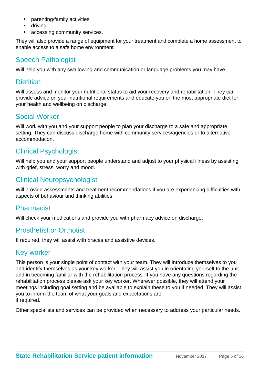- parenting/family activities
- driving
- accessing community services.

They will also provide a range of equipment for your treatment and complete a home assessment to enable access to a safe home environment.

#### <span id="page-4-0"></span>Speech Pathologist

Will help you with any swallowing and communication or language problems you may have.

#### <span id="page-4-1"></span>**Dietitian**

Will assess and monitor your nutritional status to aid your recovery and rehabilitation. They can provide advice on your nutritional requirements and educate you on the most appropriate diet for your health and wellbeing on discharge.

#### <span id="page-4-2"></span>Social Worker

Will work with you and your support people to plan your discharge to a safe and appropriate setting. They can discuss discharge home with community services/agencies or to alternative accommodation.

### <span id="page-4-3"></span>Clinical Psychologist

Will help you and your support people understand and adjust to your physical illness by assisting with grief, stress, worry and mood.

### <span id="page-4-4"></span>Clinical Neuropsychologist

Will provide assessments and treatment recommendations if you are experiencing difficulties with aspects of behaviour and thinking abilities.

#### <span id="page-4-5"></span>Pharmacist

Will check your medications and provide you with pharmacy advice on discharge.

#### <span id="page-4-6"></span>Prosthetist or Orthotist

If required, they will assist with braces and assistive devices.

#### <span id="page-4-7"></span>Key worker

This person is your single point of contact with your team. They will introduce themselves to you and identify themselves as your key worker. They will assist you in orientating yourself to the unit and in becoming familiar with the rehabilitation process. If you have any questions regarding the rehabilitation process please ask your key worker. Wherever possible, they will attend your meetings including goal setting and be available to explain these to you if needed. They will assist you to inform the team of what your goals and expectations are if required.

Other specialists and services can be provided when necessary to address your particular needs.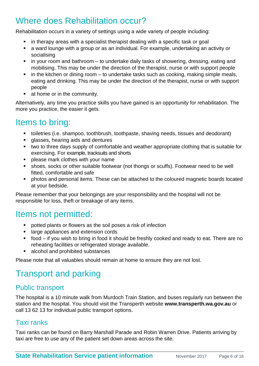# <span id="page-5-0"></span>Where does Rehabilitation occur?

Rehabilitation occurs in a variety of settings using a wide variety of people including:

- in therapy areas with a specialist therapist dealing with a specific task or goal
- a ward lounge with a group or as an individual. For example, undertaking an activity or socialising
- in your room and bathroom to undertake daily tasks of showering, dressing, eating and mobilising. This may be under the direction of the therapist, nurse or with support people
- $\blacksquare$  in the kitchen or dining room to undertake tasks such as cooking, making simple meals, eating and drinking. This may be under the direction of the therapist, nurse or with support people
- at home or in the community.

Alternatively, any time you practice skills you have gained is an opportunity for rehabilitation. The more you practice, the easier it gets.

## <span id="page-5-1"></span>Items to bring:

- toiletries (i.e. shampoo, toothbrush, toothpaste, shaving needs, tissues and deodorant)
- glasses, hearing aids and dentures
- two to three days supply of comfortable and weather appropriate clothing that is suitable for exercising. For example, tracksuits and shorts
- **Part of the please mark clothes with your name**
- shoes, socks or other suitable footwear (not thongs or scuffs). Footwear need to be well fitted, comfortable and safe
- photos and personal items. These can be attached to the coloured magnetic boards located at your bedside.

Please remember that your belongings are your responsibility and the hospital will not be responsible for loss, theft or breakage of any items.

### <span id="page-5-2"></span>Items not permitted:

- potted plants or flowers as the soil poses a risk of infection
- **EXTERGIBLE 13 Inches** and extension cords
- food if you wish to bring in food it should be freshly cooked and ready to eat. There are no reheating facilities or refrigerated storage available.
- alcohol and prohibited substances

Please note that all valuables should remain at home to ensure they are not lost.

# <span id="page-5-3"></span>Transport and parking

#### <span id="page-5-4"></span>Public transport

The hospital is a 10 minute walk from Murdoch Train Station, and buses regularly run between the station and the hospital. You should visit the Transperth website **www.transperth.wa.gov.au** or call 13 62 13 for individual public transport options.

### <span id="page-5-5"></span>Taxi ranks

Taxi ranks can be found on Barry Marshall Parade and Robin Warren Drive. Patients arriving by taxi are free to use any of the patient set down areas across the site.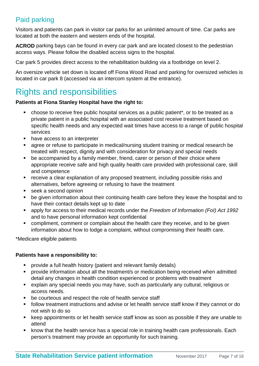### <span id="page-6-0"></span>Paid parking

Visitors and patients can park in visitor car parks for an unlimited amount of time. Car parks are located at both the eastern and western ends of the hospital.

**ACROD** parking bays can be found in every car park and are located closest to the pedestrian access ways. Please follow the disabled access signs to the hospital.

Car park 5 provides direct access to the rehabilitation building via a footbridge on level 2.

An oversize vehicle set down is located off Fiona Wood Road and parking for oversized vehicles is located in car park 8 (accessed via an intercom system at the entrance).

# <span id="page-6-1"></span>Rights and responsibilities

#### **Patients at Fiona Stanley Hospital have the right to:**

- choose to receive free public hospital services as a public patient\*, or to be treated as a private patient in a public hospital with an associated cost receive treatment based on specific health needs and any expected wait times have access to a range of public hospital services
- have access to an interpreter
- agree or refuse to participate in medical/nursing student training or medical research be treated with respect, dignity and with consideration for privacy and special needs
- be accompanied by a family member, friend, carer or person of their choice where appropriate receive safe and high quality health care provided with professional care, skill and competence
- **•** receive a clear explanation of any proposed treatment, including possible risks and alternatives, before agreeing or refusing to have the treatment
- seek a second opinion
- be given information about their continuing health care before they leave the hospital and to have their contact details kept up to date
- apply for access to their medical records under the *Freedom of Information (FoI) Act 1992* and to have personal information kept confidential
- **•** compliment, comment or complain about the health care they receive, and to be given information about how to lodge a complaint, without compromising their health care.

\*Medicare eligible patients

#### **Patients have a responsibility to:**

- provide a full health history (patient and relevant family details)
- **•** provide information about all the treatment/s or medication being received when admitted detail any changes in health condition experienced or problems with treatment
- explain any special needs you may have, such as particularly any cultural, religious or access needs.
- **•** be courteous and respect the role of health service staff
- follow treatment instructions and advise or let health service staff know if they cannot or do not wish to do so
- keep appointments or let health service staff know as soon as possible if they are unable to attend
- **EXECT** know that the health service has a special role in training health care professionals. Each person's treatment may provide an opportunity for such training.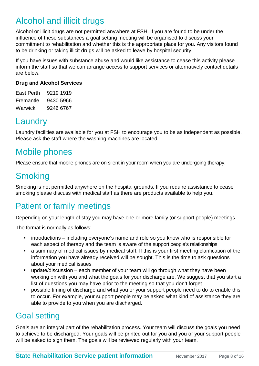# <span id="page-7-0"></span>Alcohol and illicit drugs

Alcohol or illicit drugs are not permitted anywhere at FSH. If you are found to be under the influence of these substances a goal setting meeting will be organised to discuss your commitment to rehabilitation and whether this is the appropriate place for you. Any visitors found to be drinking or taking illicit drugs will be asked to leave by hospital security.

If you have issues with substance abuse and would like assistance to cease this activity please inform the staff so that we can arrange access to support services or alternatively contact details are below.

#### **Drug and Alcohol Services**

East Perth 9219 1919 Fremantle 9430 5966 Warwick 9246 6767

## <span id="page-7-1"></span>Laundry

Laundry facilities are available for you at FSH to encourage you to be as independent as possible. Please ask the staff where the washing machines are located.

# <span id="page-7-2"></span>Mobile phones

Please ensure that mobile phones are on silent in your room when you are undergoing therapy.

# <span id="page-7-3"></span>**Smoking**

Smoking is not permitted anywhere on the hospital grounds. If you require assistance to cease smoking please discuss with medical staff as there are products available to help you.

# Patient or family meetings

Depending on your length of stay you may have one or more family (or support people) meetings.

The format is normally as follows:

- **EXECT** introductions including everyone's name and role so you know who is responsible for each aspect of therapy and the team is aware of the support people's relationships
- a summary of medical issues by medical staff. If this is your first meeting clarification of the information you have already received will be sought. This is the time to ask questions about your medical issues
- update/discussion each member of your team will go through what they have been working on with you and what the goals for your discharge are. We suggest that you start a list of questions you may have prior to the meeting so that you don't forget
- possible timing of discharge and what you or your support people need to do to enable this to occur. For example, your support people may be asked what kind of assistance they are able to provide to you when you are discharged.

### Goal setting

Goals are an integral part of the rehabilitation process. Your team will discuss the goals you need to achieve to be discharged. Your goals will be printed out for you and you or your support people will be asked to sign them. The goals will be reviewed regularly with your team.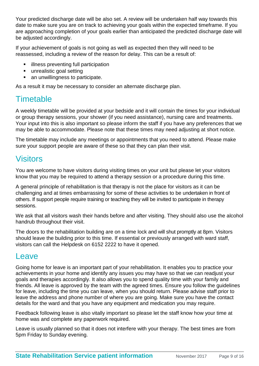Your predicted discharge date will be also set. A review will be undertaken half way towards this date to make sure you are on track to achieving your goals within the expected timeframe. If you are approaching completion of your goals earlier than anticipated the predicted discharge date will be adjusted accordingly.

If your achievement of goals is not going as well as expected then they will need to be reassessed, including a review of the reason for delay. This can be a result of:

- **E** illness preventing full participation
- **unrealistic goal setting**
- an unwillingness to participate.

As a result it may be necessary to consider an alternate discharge plan.

## **Timetable**

A weekly timetable will be provided at your bedside and it will contain the times for your individual or group therapy sessions, your shower (if you need assistance), nursing care and treatments. Your input into this is also important so please inform the staff if you have any preferences that we may be able to accommodate. Please note that these times may need adjusting at short notice.

The timetable may include any meetings or appointments that you need to attend. Please make sure your support people are aware of these so that they can plan their visit.

### **Visitors**

You are welcome to have visitors during visiting times on your unit but please let your visitors know that you may be required to attend a therapy session or a procedure during this time.

A general principle of rehabilitation is that therapy is not the place for visitors as it can be challenging and at times embarrassing for some of these activities to be undertaken in front of others. If support people require training or teaching they will be invited to participate in therapy sessions.

We ask that all visitors wash their hands before and after visiting. They should also use the alcohol handrub throughout their visit.

The doors to the rehabilitation building are on a time lock and will shut promptly at 8pm. Visitors should leave the building prior to this time. If essential or previously arranged with ward staff, visitors can call the Helpdesk on 6152 2222 to have it opened.

### **Leave**

Going home for leave is an important part of your rehabilitation. It enables you to practice your achievements in your home and identify any issues you may have so that we can readjust your goals and therapies accordingly. It also allows you to spend quality time with your family and friends. All leave is approved by the team with the agreed times. Ensure you follow the guidelines for leave, including the time you can leave, when you should return. Please advise staff prior to leave the address and phone number of where you are going. Make sure you have the contact details for the ward and that you have any equipment and medication you may require.

Feedback following leave is also vitally important so please let the staff know how your time at home was and complete any paperwork required.

Leave is usually planned so that it does not interfere with your therapy. The best times are from 5pm Friday to Sunday evening.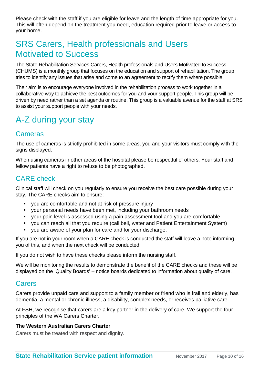Please check with the staff if you are eligible for leave and the length of time appropriate for you. This will often depend on the treatment you need, education required prior to leave or access to your home.

## <span id="page-9-0"></span>SRS Carers, Health professionals and Users Motivated to Success

The State Rehabilitation Services Carers, Health professionals and Users Motivated to Success (CHUMS) is a monthly group that focuses on the education and support of rehabilitation. The group tries to identify any issues that arise and come to an agreement to rectify them where possible.

Their aim is to encourage everyone involved in the rehabilitation process to work together in a collaborative way to achieve the best outcomes for you and your support people. This group will be driven by need rather than a set agenda or routine. This group is a valuable avenue for the staff at SRS to assist your support people with your needs.

# <span id="page-9-1"></span>A-Z during your stay

#### <span id="page-9-2"></span>**Cameras**

The use of cameras is strictly prohibited in some areas, you and your visitors must comply with the signs displayed.

When using cameras in other areas of the hospital please be respectful of others. Your staff and fellow patients have a right to refuse to be photographed.

### <span id="page-9-3"></span>CARE check

Clinical staff will check on you regularly to ensure you receive the best care possible during your stay. The CARE checks aim to ensure:

- you are comfortable and not at risk of pressure injury
- your personal needs have been met, including your bathroom needs
- your pain level is assessed using a pain assessment tool and you are comfortable
- you can reach all that you require (call bell, water and Patient Entertainment System)
- you are aware of your plan for care and for your discharge.

If you are not in your room when a CARE check is conducted the staff will leave a note informing you of this, and when the next check will be conducted.

If you do not wish to have these checks please inform the nursing staff.

We will be monitoring the results to demonstrate the benefit of the CARE checks and these will be displayed on the 'Quality Boards' – notice boards dedicated to information about quality of care.

#### <span id="page-9-4"></span>**Carers**

Carers provide unpaid care and support to a family member or friend who is frail and elderly, has dementia, a mental or chronic illness, a disability, complex needs, or receives palliative care.

At FSH, we recognise that carers are a key partner in the delivery of care. We support the four principles of the WA Carers Charter.

#### **The Western Australian Carers Charter**

Carers must be treated with respect and dignity.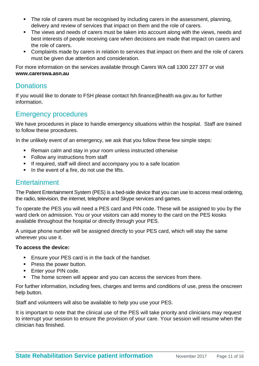- The role of carers must be recognised by including carers in the assessment, planning, delivery and review of services that impact on them and the role of carers.
- The views and needs of carers must be taken into account along with the views, needs and best interests of people receiving care when decisions are made that impact on carers and the role of carers.
- Complaints made by carers in relation to services that impact on them and the role of carers must be given due attention and consideration.

For more information on the services available through Carers WA call 1300 227 377 or visit **www.carerswa.asn.au**

#### <span id="page-10-0"></span>**Donations**

If you would like to donate to FSH please contact fsh.finance@health.wa.gov.au for further information.

#### <span id="page-10-1"></span>Emergency procedures

We have procedures in place to handle emergency situations within the hospital. Staff are trained to follow these procedures.

In the unlikely event of an emergency, we ask that you follow these few simple steps:

- Remain calm and stay in your room unless instructed otherwise
- Follow any instructions from staff
- **If required, staff will direct and accompany you to a safe location**
- In the event of a fire, do not use the lifts.

#### <span id="page-10-2"></span>**Entertainment**

The Patient Entertainment System (PES) is a bed-side device that you can use to access meal ordering, the radio, television, the internet, telephone and Skype services and games.

To operate the PES you will need a PES card and PIN code. These will be assigned to you by the ward clerk on admission. You or your visitors can add money to the card on the PES kiosks available throughout the hospital or directly through your PES.

A unique phone number will be assigned directly to your PES card, which will stay the same wherever you use it.

#### **To access the device:**

- **Ensure your PES card is in the back of the handset.**
- **Press the power button.**
- **Enter your PIN code.**
- The home screen will appear and you can access the services from there.

For further information, including fees, charges and terms and conditions of use, press the onscreen help button.

Staff and volunteers will also be available to help you use your PES.

It is important to note that the clinical use of the PES will take priority and clinicians may request to interrupt your session to ensure the provision of your care. Your session will resume when the clinician has finished.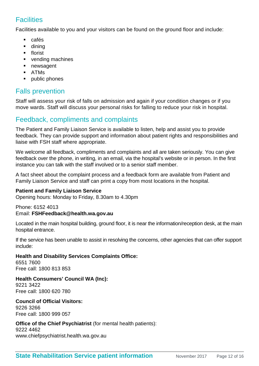### <span id="page-11-0"></span>**Facilities**

Facilities available to you and your visitors can be found on the ground floor and include:

- cafés
- **u** dining
- **florist**
- **vending machines**
- **newsagent**
- ATMs
- **•** public phones

### <span id="page-11-1"></span>Falls prevention

Staff will assess your risk of falls on admission and again if your condition changes or if you move wards. Staff will discuss your personal risks for falling to reduce your risk in hospital.

### <span id="page-11-2"></span>Feedback, compliments and complaints

The Patient and Family Liaison Service is available to listen, help and assist you to provide feedback. They can provide support and information about patient rights and responsibilities and liaise with FSH staff where appropriate.

We welcome all feedback, compliments and complaints and all are taken seriously. You can give feedback over the phone, in writing, in an email, via the hospital's website or in person. In the first instance you can talk with the staff involved or to a senior staff member.

A fact sheet about the complaint process and a feedback form are available from Patient and Family Liaison Service and staff can print a copy from most locations in the hospital.

#### **Patient and Family Liaison Service**

Opening hours: Monday to Friday, 8.30am to 4.30pm

Phone: 6152 4013 Email: **FSHFeedback@health.wa.gov.au** 

Located in the main hospital building, ground floor, it is near the information/reception desk, at the main hospital entrance.

If the service has been unable to assist in resolving the concerns, other agencies that can offer support include:

**Health and Disability Services Complaints Office:** 6551 7600 Free call: 1800 813 853

#### **Health Consumers' Council WA (Inc):**

9221 3422 Free call: 1800 620 780

#### **Council of Official Visitors:**  9226 3266 Free call: 1800 999 057

#### **Office of the Chief Psychiatrist** (for mental health patients):

9222 4462 www.chiefpsychiatrist.health.wa.gov.au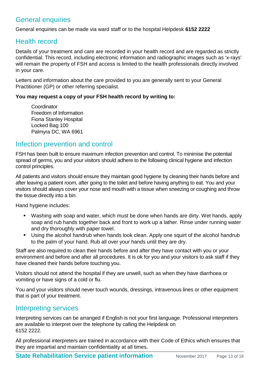### <span id="page-12-0"></span>General enquiries

General enquiries can be made via ward staff or to the hospital Helpdesk **6152 2222**

#### <span id="page-12-1"></span>Health record

Details of your treatment and care are recorded in your health record and are regarded as strictly confidential. This record, including electronic information and radiographic images such as 'x-rays' will remain the property of FSH and access is limited to the health professionals directly involved in your care.

Letters and information about the care provided to you are generally sent to your General Practitioner (GP) or other referring specialist.

#### **You may request a copy of your FSH health record by writing to:**

Coordinator Freedom of Information Fiona Stanley Hospital Locked Bag 100 Palmyra DC, WA 6961

#### <span id="page-12-2"></span>Infection prevention and control

FSH has been built to ensure maximum infection prevention and control. To minimise the potential spread of germs, you and your visitors should adhere to the following clinical hygiene and infection control principles.

All patients and visitors should ensure they maintain good hygiene by cleaning their hands before and after leaving a patient room, after going to the toilet and before having anything to eat. You and your visitors should always cover your nose and mouth with a tissue when sneezing or coughing and throw the tissue directly into a bin.

Hand hygiene includes:

- Washing with soap and water, which must be done when hands are dirty. Wet hands, apply soap and rub hands together back and front to work up a lather. Rinse under running water and dry thoroughly with paper towel.
- Using the alcohol handrub when hands look clean. Apply one squirt of the alcohol handrub to the palm of your hand. Rub all over your hands until they are dry.

Staff are also required to clean their hands before and after they have contact with you or your environment and before and after all procedures. It is ok for you and your visitors to ask staff if they have cleaned their hands before touching you.

Visitors should not attend the hospital if they are unwell, such as when they have diarrhoea or vomiting or have signs of a cold or flu.

You and your visitors should never touch wounds, dressings, intravenous lines or other equipment that is part of your treatment.

#### <span id="page-12-3"></span>Interpreting services

Interpreting services can be arranged if English is not your first language. Professional interpreters are available to interpret over the telephone by calling the Helpdesk on 6152 2222.

All professional interpreters are trained in accordance with their Code of Ethics which ensures that they are impartial and maintain confidentiality at all times.

**State Rehabilitation Service patient information** November 2017 Page 13 of 16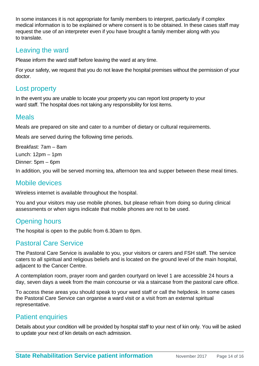In some instances it is not appropriate for family members to interpret, particularly if complex medical information is to be explained or where consent is to be obtained. In these cases staff may request the use of an interpreter even if you have brought a family member along with you to translate.

#### <span id="page-13-0"></span>Leaving the ward

Please inform the ward staff before leaving the ward at any time.

For your safety, we request that you do not leave the hospital premises without the permission of your doctor.

#### <span id="page-13-1"></span>Lost property

In the event you are unable to locate your property you can report lost property to your ward staff. The hospital does not taking any responsibility for lost items.

#### <span id="page-13-2"></span>Meals

Meals are prepared on site and cater to a number of dietary or cultural requirements.

Meals are served during the following time periods.

Breakfast: 7am – 8am Lunch: 12pm – 1pm Dinner: 5pm – 6pm

In addition, you will be served morning tea, afternoon tea and supper between these meal times.

#### <span id="page-13-3"></span>Mobile devices

Wireless internet is available throughout the hospital.

You and your visitors may use mobile phones, but please refrain from doing so during clinical assessments or when signs indicate that mobile phones are not to be used.

### <span id="page-13-4"></span>Opening hours

The hospital is open to the public from 6.30am to 8pm.

#### <span id="page-13-5"></span>Pastoral Care Service

The Pastoral Care Service is available to you, your visitors or carers and FSH staff. The service caters to all spiritual and religious beliefs and is located on the ground level of the main hospital, adjacent to the Cancer Centre.

A contemplation room, prayer room and garden courtyard on level 1 are accessible 24 hours a day, seven days a week from the main concourse or via a staircase from the pastoral care office.

To access these areas you should speak to your ward staff or call the helpdesk. In some cases the Pastoral Care Service can organise a ward visit or a visit from an external spiritual representative.

### <span id="page-13-6"></span>**Patient enquiries**

Details about your condition will be provided by hospital staff to your next of kin only. You will be asked to update your next of kin details on each admission.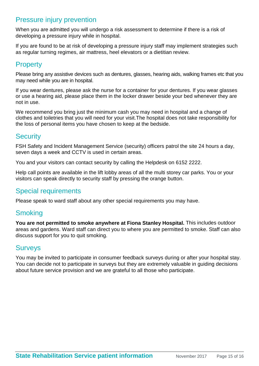#### <span id="page-14-0"></span>Pressure injury prevention

When you are admitted you will undergo a risk assessment to determine if there is a risk of developing a pressure injury while in hospital.

If you are found to be at risk of developing a pressure injury staff may implement strategies such as regular turning regimes, air mattress, heel elevators or a dietitian review.

### <span id="page-14-1"></span>**Property**

Please bring any assistive devices such as dentures, glasses, hearing aids, walking frames etc that you may need while you are in hospital.

If you wear dentures, please ask the nurse for a container for your dentures. If you wear glasses or use a hearing aid, please place them in the locker drawer beside your bed whenever they are not in use.

We recommend you bring just the minimum cash you may need in hospital and a change of clothes and toiletries that you will need for your visit.The hospital does not take responsibility for the loss of personal items you have chosen to keep at the bedside.

#### <span id="page-14-2"></span>**Security**

FSH Safety and Incident Management Service (security) officers patrol the site 24 hours a day, seven days a week and CCTV is used in certain areas.

You and your visitors can contact security by calling the Helpdesk on 6152 2222.

Help call points are available in the lift lobby areas of all the multi storey car parks. You or your visitors can speak directly to security staff by pressing the orange button.

### <span id="page-14-3"></span>Special requirements

Please speak to ward staff about any other special requirements you may have.

#### <span id="page-14-4"></span>**Smoking**

**You are not permitted to smoke anywhere at Fiona Stanley Hospital.** This includes outdoor areas and gardens. Ward staff can direct you to where you are permitted to smoke. Staff can also discuss support for you to quit smoking.

#### <span id="page-14-5"></span>**Surveys**

You may be invited to participate in consumer feedback surveys during or after your hospital stay. You can decide not to participate in surveys but they are extremely valuable in guiding decisions about future service provision and we are grateful to all those who participate.